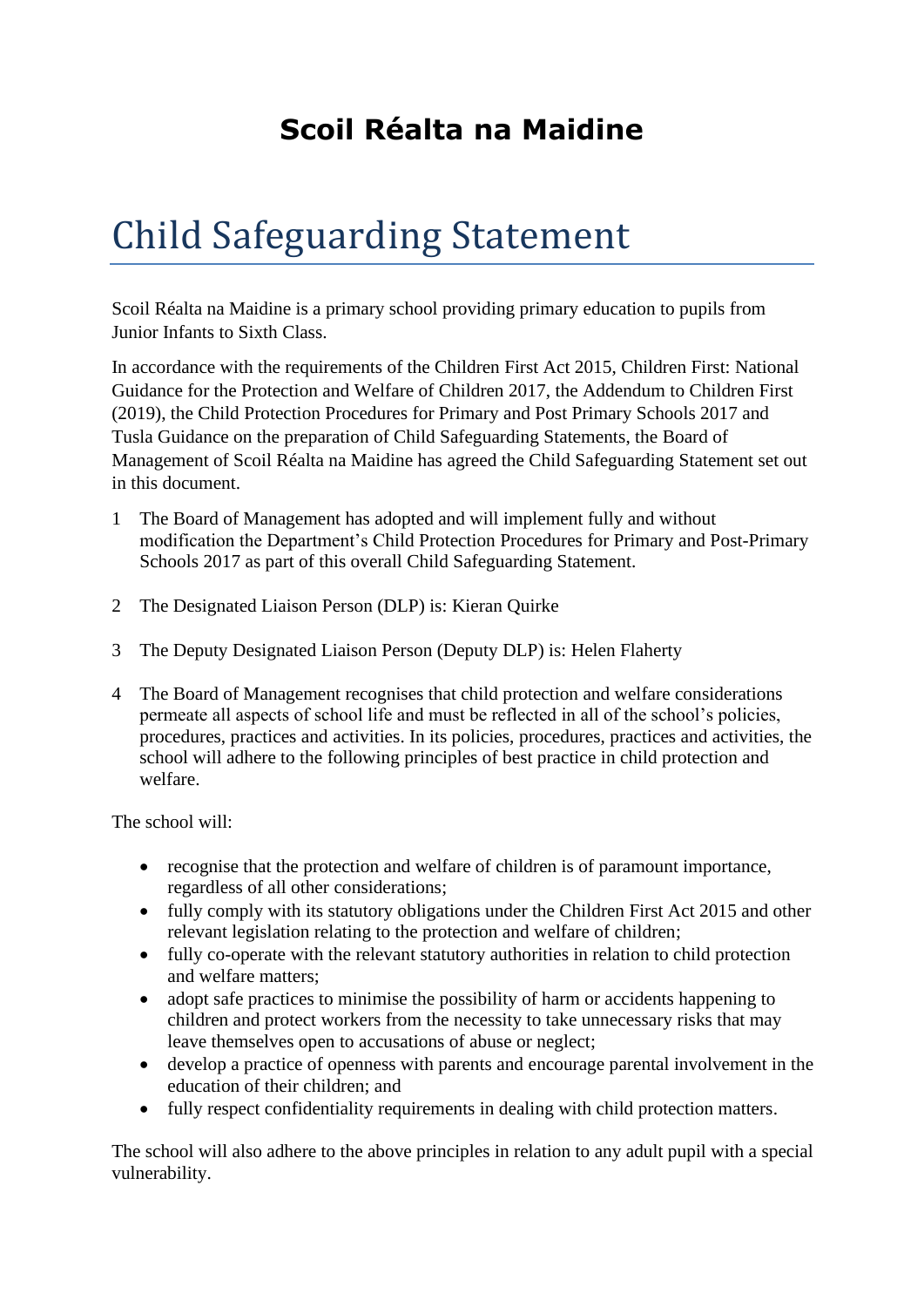## **Scoil Réalta na Maidine**

## Child Safeguarding Statement

Scoil Réalta na Maidine is a primary school providing primary education to pupils from Junior Infants to Sixth Class.

In accordance with the requirements of the Children First Act 2015, Children First: National Guidance for the Protection and Welfare of Children 2017, the Addendum to Children First (2019), the Child Protection Procedures for Primary and Post Primary Schools 2017 and Tusla Guidance on the preparation of Child Safeguarding Statements, the Board of Management of Scoil Réalta na Maidine has agreed the Child Safeguarding Statement set out in this document.

- 1 The Board of Management has adopted and will implement fully and without modification the Department's Child Protection Procedures for Primary and Post-Primary Schools 2017 as part of this overall Child Safeguarding Statement.
- 2 The Designated Liaison Person (DLP) is: Kieran Quirke
- 3 The Deputy Designated Liaison Person (Deputy DLP) is: Helen Flaherty
- 4 The Board of Management recognises that child protection and welfare considerations permeate all aspects of school life and must be reflected in all of the school's policies, procedures, practices and activities. In its policies, procedures, practices and activities, the school will adhere to the following principles of best practice in child protection and welfare.

The school will:

- recognise that the protection and welfare of children is of paramount importance, regardless of all other considerations;
- fully comply with its statutory obligations under the Children First Act 2015 and other relevant legislation relating to the protection and welfare of children;
- fully co-operate with the relevant statutory authorities in relation to child protection and welfare matters;
- adopt safe practices to minimise the possibility of harm or accidents happening to children and protect workers from the necessity to take unnecessary risks that may leave themselves open to accusations of abuse or neglect;
- develop a practice of openness with parents and encourage parental involvement in the education of their children; and
- fully respect confidentiality requirements in dealing with child protection matters.

The school will also adhere to the above principles in relation to any adult pupil with a special vulnerability.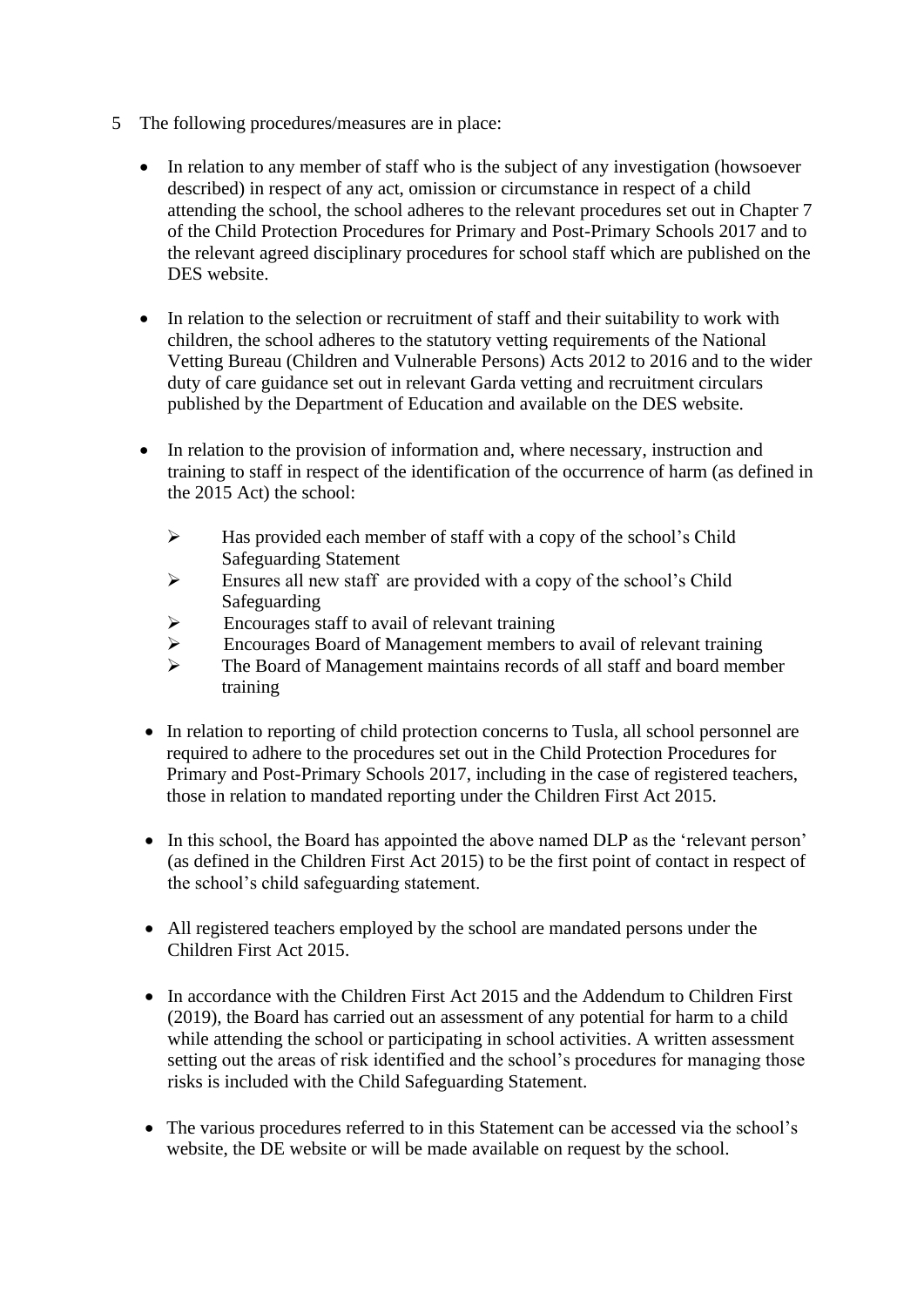- 5 The following procedures/measures are in place:
	- In relation to any member of staff who is the subject of any investigation (howsoever described) in respect of any act, omission or circumstance in respect of a child attending the school, the school adheres to the relevant procedures set out in Chapter 7 of the Child Protection Procedures for Primary and Post-Primary Schools 2017 and to the relevant agreed disciplinary procedures for school staff which are published on the DES website.
	- In relation to the selection or recruitment of staff and their suitability to work with children, the school adheres to the statutory vetting requirements of the National Vetting Bureau (Children and Vulnerable Persons) Acts 2012 to 2016 and to the wider duty of care guidance set out in relevant Garda vetting and recruitment circulars published by the Department of Education and available on the DES website.
	- In relation to the provision of information and, where necessary, instruction and training to staff in respect of the identification of the occurrence of harm (as defined in the 2015 Act) the school:
		- ➢ Has provided each member of staff with a copy of the school's Child Safeguarding Statement
		- ➢ Ensures all new staff are provided with a copy of the school's Child Safeguarding
		- $\triangleright$  Encourages staff to avail of relevant training
		- ➢ Encourages Board of Management members to avail of relevant training
		- ➢ The Board of Management maintains records of all staff and board member training
	- In relation to reporting of child protection concerns to Tusla, all school personnel are required to adhere to the procedures set out in the Child Protection Procedures for Primary and Post-Primary Schools 2017, including in the case of registered teachers, those in relation to mandated reporting under the Children First Act 2015.
	- In this school, the Board has appointed the above named DLP as the 'relevant person' (as defined in the Children First Act 2015) to be the first point of contact in respect of the school's child safeguarding statement.
	- All registered teachers employed by the school are mandated persons under the Children First Act 2015.
	- In accordance with the Children First Act 2015 and the Addendum to Children First (2019), the Board has carried out an assessment of any potential for harm to a child while attending the school or participating in school activities. A written assessment setting out the areas of risk identified and the school's procedures for managing those risks is included with the Child Safeguarding Statement.
	- The various procedures referred to in this Statement can be accessed via the school's website, the DE website or will be made available on request by the school.